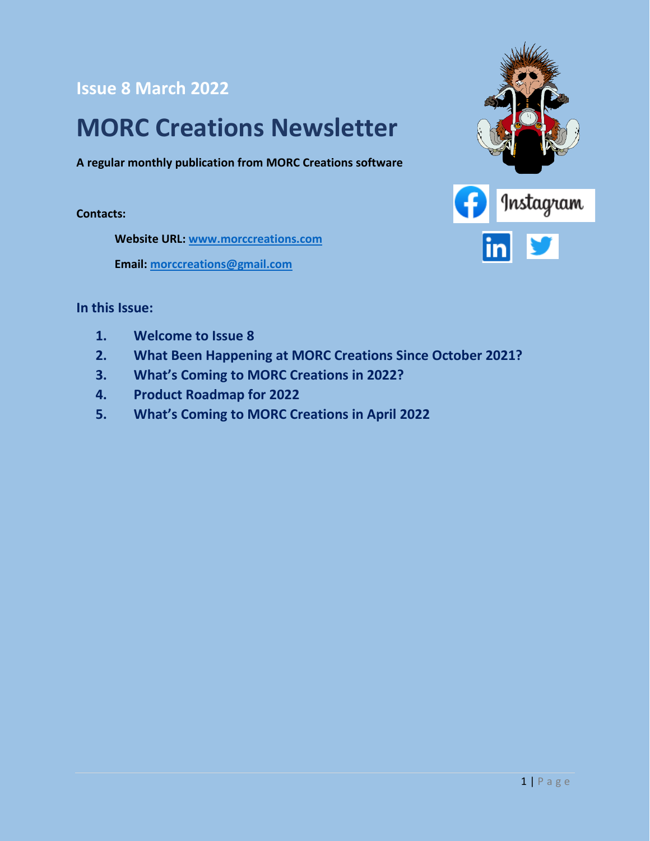**Issue 8 March 2022**

#### **MORC Creations Newsletter**

**A regular monthly publication from MORC Creations software**

**Contacts:**

**Website URL: [www.morccreations.com](http://www.morccreations.com/)**

**Email: [morccreations@gmail.com](mailto:morccreations@gmail.com)**



#### **In this Issue:**

- **1. Welcome to Issue 8**
- **2. What Been Happening at MORC Creations Since October 2021?**
- **3. What's Coming to MORC Creations in 2022?**
- **4. Product Roadmap for 2022**
- **5. What's Coming to MORC Creations in April 2022**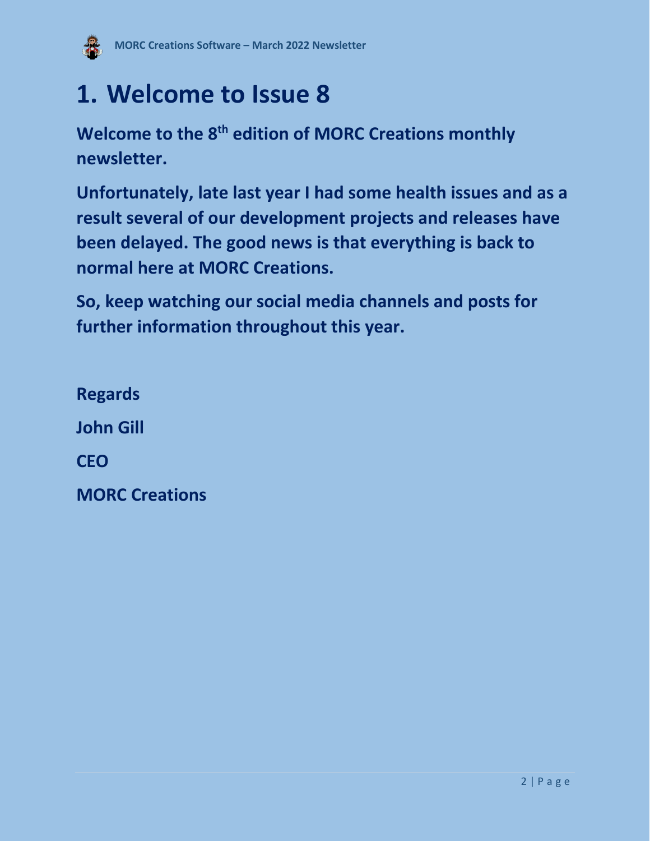

## **1. Welcome to Issue 8**

**Welcome to the 8 th edition of MORC Creations monthly newsletter.**

**Unfortunately, late last year I had some health issues and as a result several of our development projects and releases have been delayed. The good news is that everything is back to normal here at MORC Creations.**

**So, keep watching our social media channels and posts for further information throughout this year.**

**Regards John Gill CEO MORC Creations**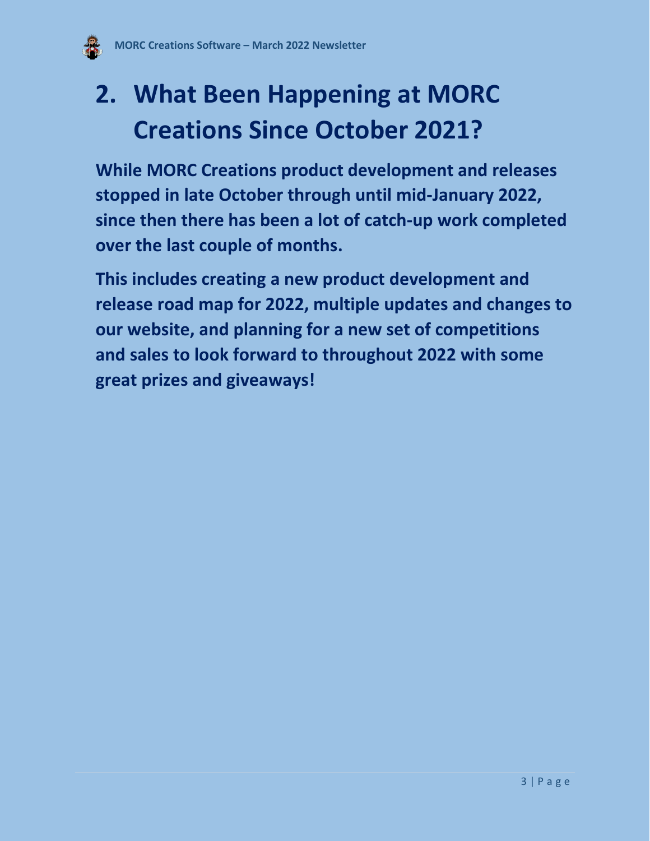

## **2. What Been Happening at MORC Creations Since October 2021?**

**While MORC Creations product development and releases stopped in late October through until mid-January 2022, since then there has been a lot of catch-up work completed over the last couple of months.** 

**This includes creating a new product development and release road map for 2022, multiple updates and changes to our website, and planning for a new set of competitions and sales to look forward to throughout 2022 with some great prizes and giveaways!**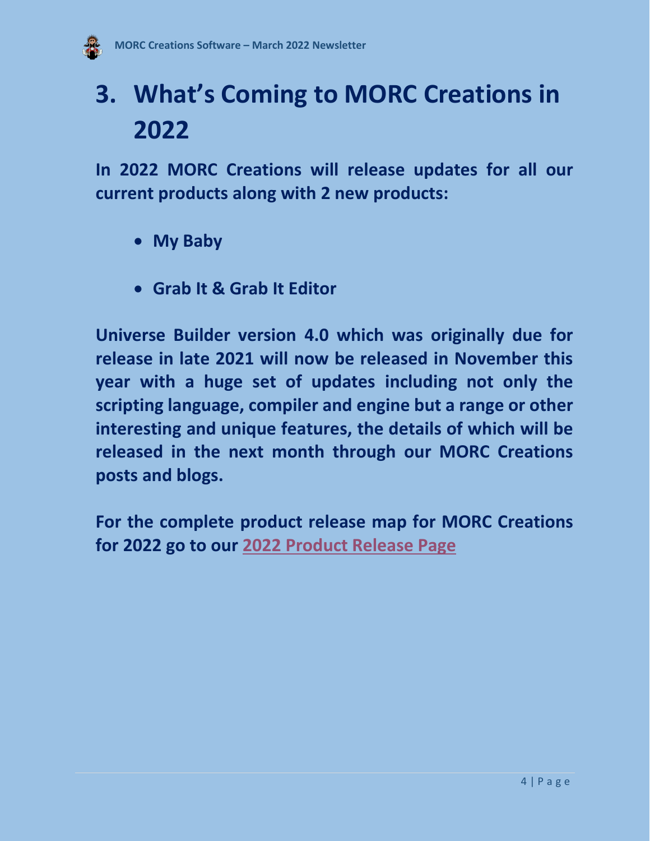

## **3. What's Coming to MORC Creations in 2022**

**In 2022 MORC Creations will release updates for all our current products along with 2 new products:**

- **My Baby**
- **Grab It & Grab It Editor**

**Universe Builder version 4.0 which was originally due for release in late 2021 will now be released in November this year with a huge set of updates including not only the scripting language, compiler and engine but a range or other interesting and unique features, the details of which will be released in the next month through our MORC Creations posts and blogs.** 

**For the complete product release map for MORC Creations for 2022 go to our [2022 Product Release Page](https://www.morccreations.co/proposed-2022-product-road-map)**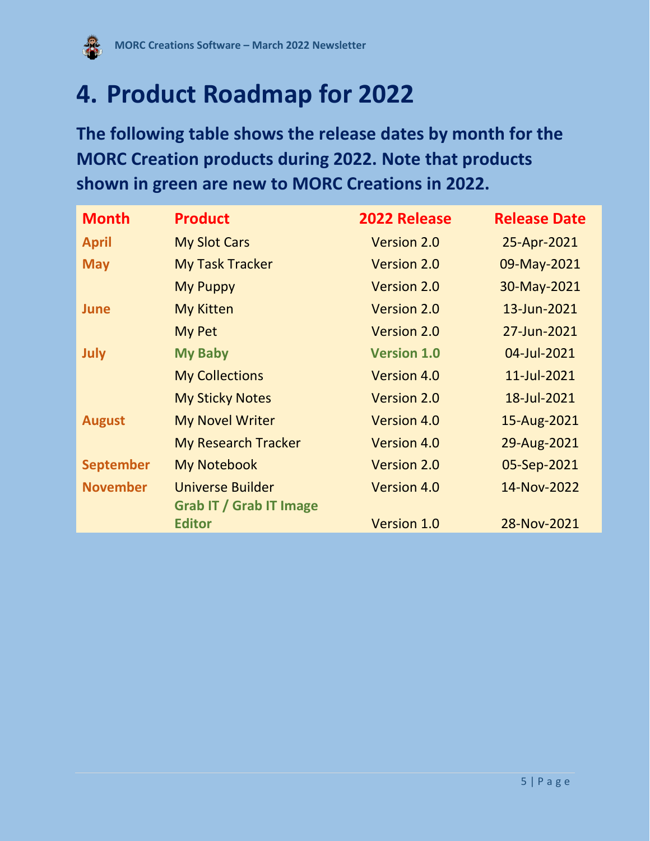

## **4. Product Roadmap for 2022**

**The following table shows the release dates by month for the MORC Creation products during 2022. Note that products shown in green are new to MORC Creations in 2022.**

| <b>Month</b>     | <b>Product</b>                                            | 2022 Release       | <b>Release Date</b> |
|------------------|-----------------------------------------------------------|--------------------|---------------------|
| <b>April</b>     | <b>My Slot Cars</b>                                       | Version 2.0        | 25-Apr-2021         |
| <b>May</b>       | <b>My Task Tracker</b>                                    | <b>Version 2.0</b> | 09-May-2021         |
|                  | <b>My Puppy</b>                                           | Version 2.0        | 30-May-2021         |
| June             | <b>My Kitten</b>                                          | <b>Version 2.0</b> | 13-Jun-2021         |
|                  | <b>My Pet</b>                                             | Version 2.0        | 27-Jun-2021         |
| <b>July</b>      | <b>My Baby</b>                                            | <b>Version 1.0</b> | 04-Jul-2021         |
|                  | <b>My Collections</b>                                     | <b>Version 4.0</b> | 11-Jul-2021         |
|                  | <b>My Sticky Notes</b>                                    | <b>Version 2.0</b> | 18-Jul-2021         |
| <b>August</b>    | <b>My Novel Writer</b>                                    | <b>Version 4.0</b> | 15-Aug-2021         |
|                  | <b>My Research Tracker</b>                                | <b>Version 4.0</b> | 29-Aug-2021         |
| <b>September</b> | <b>My Notebook</b>                                        | <b>Version 2.0</b> | 05-Sep-2021         |
| <b>November</b>  | <b>Universe Builder</b><br><b>Grab IT / Grab IT Image</b> | <b>Version 4.0</b> | 14-Nov-2022         |
|                  | <b>Editor</b>                                             | Version 1.0        | 28-Nov-2021         |